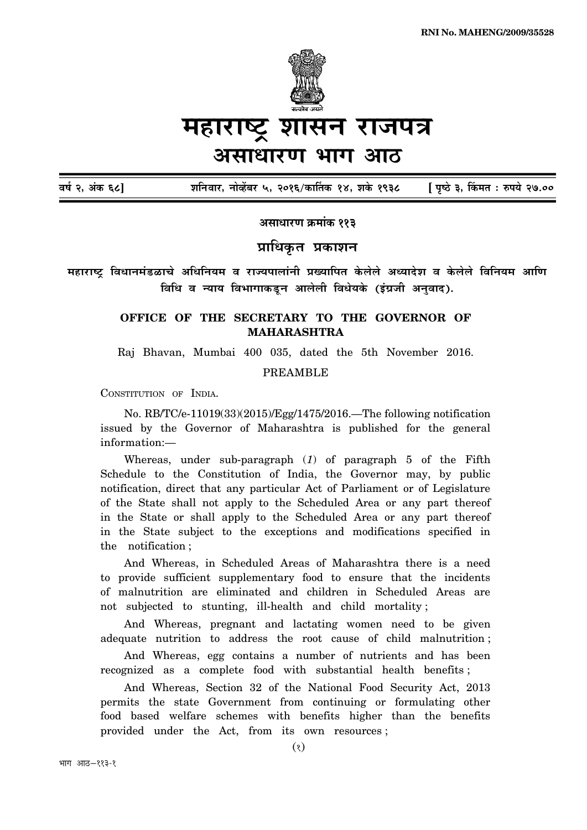

# महाराष्ट्र शासन राजपत्र असाधारण भाग आठ

**´É¹ÉÇ 2, +ÆEò 68] ¶ÉÊxÉý´ÉÉ®ú, xÉÉä´½åþ¤É®ú 5, 2016/EòÉÌiÉEòù 14, ¶ÉEäò 1938 [ {ÉÞ¹`ä 3, ËEò¨ÉiÉ : ¯û{ɪÉä 27.00**

<u>असाधारण क्रमांक ११३</u>

## **प्राधिकृत प्रकाशन**

महाराष्ट्र विधानमंडळाचे अधिनियम व राज्यपालांनी प्रख्यापित केलेले अध्यादेश व केलेले विनियम आणि <u>विधि व न्याय विभागाकडून आलेली विधेयके (इंग्रजी अनवाद).</u>

## **OFFICE OF THE SECRETARY TO THE GOVERNOR OF MAHARASHTRA**

Raj Bhavan, Mumbai 400 035, dated the 5th November 2016.

### PREAMBLE

CONSTITUTION OF INDIA.

No. RB/TC/e-11019(33)(2015)/Egg/1475/2016.—The following notification issued by the Governor of Maharashtra is published for the general information:—

Whereas, under sub-paragraph (*1*) of paragraph 5 of the Fifth Schedule to the Constitution of India, the Governor may, by public notification, direct that any particular Act of Parliament or of Legislature of the State shall not apply to the Scheduled Area or any part thereof in the State or shall apply to the Scheduled Area or any part thereof in the State subject to the exceptions and modifications specified in the notification ;

And Whereas, in Scheduled Areas of Maharashtra there is a need to provide sufficient supplementary food to ensure that the incidents of malnutrition are eliminated and children in Scheduled Areas are not subjected to stunting, ill-health and child mortality ;

And Whereas, pregnant and lactating women need to be given adequate nutrition to address the root cause of child malnutrition ;

And Whereas, egg contains a number of nutrients and has been recognized as a complete food with substantial health benefits ;

And Whereas, Section 32 of the National Food Security Act, 2013 permits the state Government from continuing or formulating other food based welfare schemes with benefits higher than the benefits provided under the Act, from its own resources ;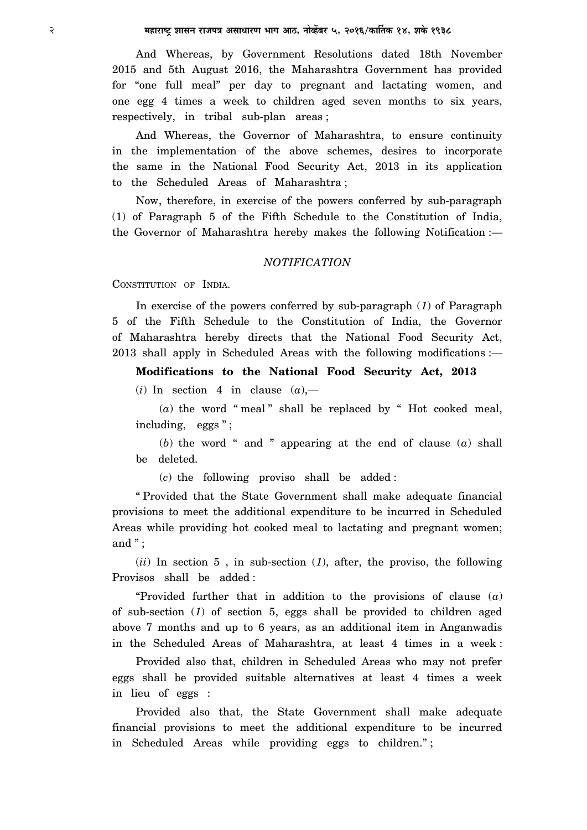And Whereas, by Government Resolutions dated 18th November 2015 and 5th August 2016, the Maharashtra Government has provided for "one full meal" per day to pregnant and lactating women, and one egg 4 times a week to children aged seven months to six years, respectively, in tribal sub-plan areas ;

And Whereas, the Governor of Maharashtra, to ensure continuity in the implementation of the above schemes, desires to incorporate the same in the National Food Security Act, 2013 in its application to the Scheduled Areas of Maharashtra ;

Now, therefore, in exercise of the powers conferred by sub-paragraph (1) of Paragraph 5 of the Fifth Schedule to the Constitution of India, the Governor of Maharashtra hereby makes the following Notification :—

#### *NOTIFICATION*

CONSTITUTION OF INDIA.

In exercise of the powers conferred by sub-paragraph (*1*) of Paragraph 5 of the Fifth Schedule to the Constitution of India, the Governor of Maharashtra hereby directs that the National Food Security Act, 2013 shall apply in Scheduled Areas with the following modifications :—

**Modifications to the National Food Security Act, 2013**

 $(i)$  In section 4 in clause  $(a)$ ,—

 $(a)$  the word "meal" shall be replaced by " Hot cooked meal, including, eggs";

(*b*) the word " and " appearing at the end of clause (*a*) shall be deleted.

(*c*) the following proviso shall be added :

" Provided that the State Government shall make adequate financial provisions to meet the additional expenditure to be incurred in Scheduled Areas while providing hot cooked meal to lactating and pregnant women; and " ;

(*ii*) In section 5 , in sub-section (*1*), after, the proviso, the following Provisos shall be added :

"Provided further that in addition to the provisions of clause (*a*) of sub-section (*1*) of section 5, eggs shall be provided to children aged above 7 months and up to 6 years, as an additional item in Anganwadis in the Scheduled Areas of Maharashtra, at least 4 times in a week :

Provided also that, children in Scheduled Areas who may not prefer eggs shall be provided suitable alternatives at least 4 times a week in lieu of eggs :

Provided also that, the State Government shall make adequate financial provisions to meet the additional expenditure to be incurred in Scheduled Areas while providing eggs to children." ;